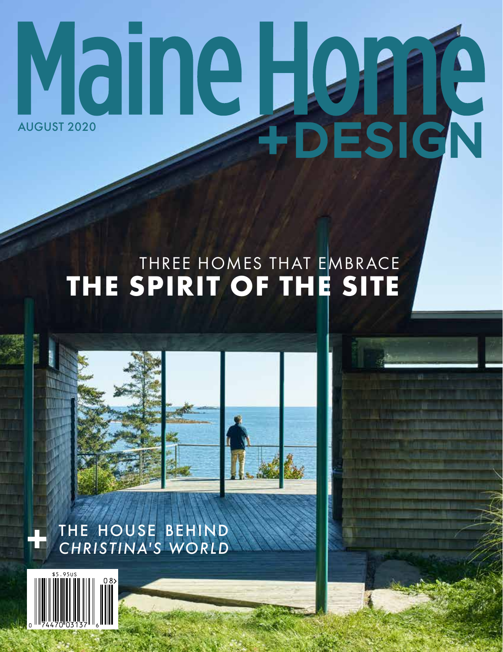# Maine Heine

### THREE HOMES THAT EMBRACE THE SPIRIT OF THE SITE



THE HOUSE BEHIND *CHRISTINA'S WORLD*

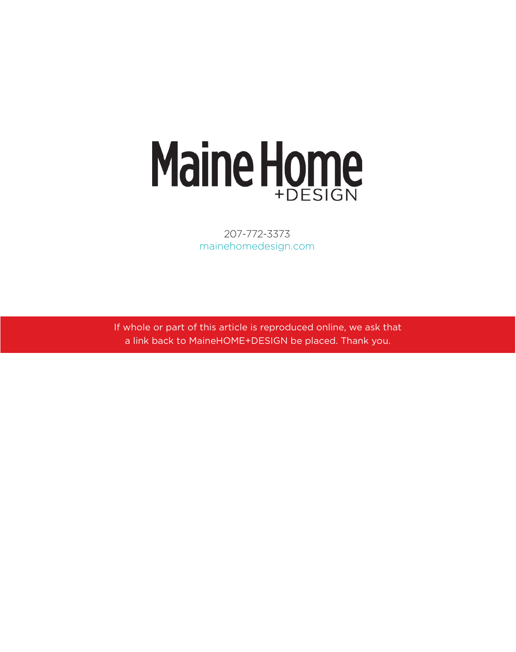### Maine Home

207-772-3373 mainehomedesign.com

If whole or part of this article is reproduced online, we ask that a link back to MaineHOME+DESIGN be placed. Thank you.